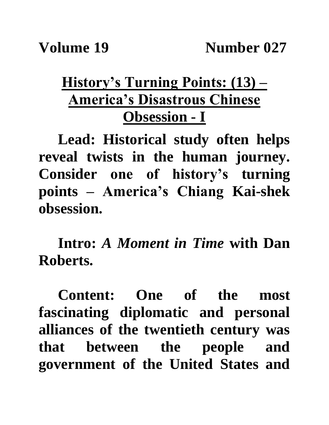## **History's Turning Points: (13) – America's Disastrous Chinese Obsession - I**

**Lead: Historical study often helps reveal twists in the human journey. Consider one of history's turning points – America's Chiang Kai-shek obsession.**

**Intro:** *A Moment in Time* **with Dan Roberts.**

**Content: One of the most fascinating diplomatic and personal alliances of the twentieth century was that between the people and government of the United States and**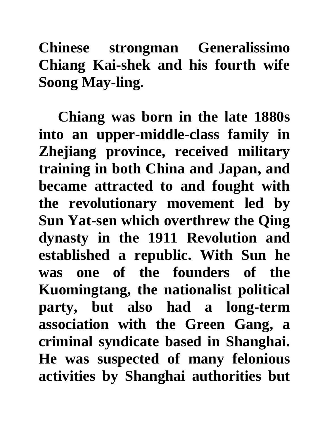**Chinese strongman Generalissimo Chiang Kai-shek and his fourth wife Soong May-ling.** 

**Chiang was born in the late 1880s into an upper-middle-class family in Zhejiang province, received military training in both China and Japan, and became attracted to and fought with the revolutionary movement led by Sun Yat-sen which overthrew the Qing dynasty in the 1911 Revolution and established a republic. With Sun he was one of the founders of the Kuomingtang, the nationalist political party, but also had a long-term association with the Green Gang, a criminal syndicate based in Shanghai. He was suspected of many felonious activities by Shanghai authorities but**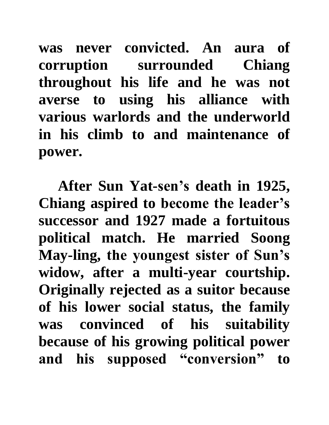**was never convicted. An aura of corruption surrounded Chiang throughout his life and he was not averse to using his alliance with various warlords and the underworld in his climb to and maintenance of power.**

**After Sun Yat-sen's death in 1925, Chiang aspired to become the leader's successor and 1927 made a fortuitous political match. He married Soong May-ling, the youngest sister of Sun's widow, after a multi-year courtship. Originally rejected as a suitor because of his lower social status, the family was convinced of his suitability because of his growing political power and his supposed "conversion" to**